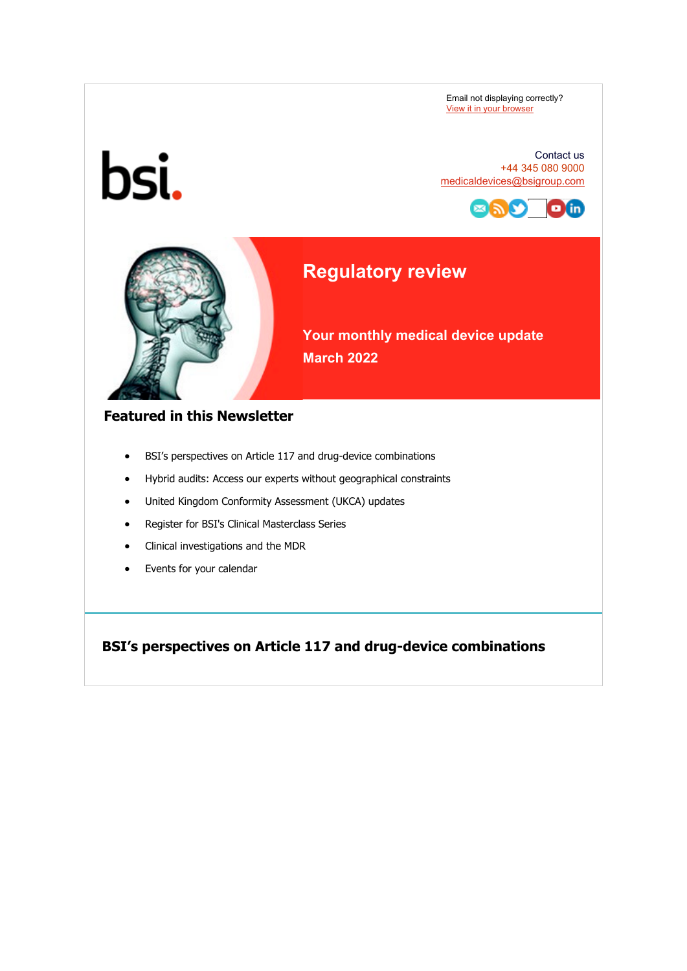Email not displaying correctly? [View it in your browser](https://eur03.safelinks.protection.outlook.com/?url=https%3A%2F%2Fhelp.salesforce.com%2FarticleView%3Fid%3Dpardot_view_online_link.htm&data=04%7C01%7CBen.Smith%40bsigroup.com%7C4e31e91843154197988d08da03694d5e%7C54946ffc68d34955ac70dca726d445b4%7C0%7C0%7C637826048092479961%7CUnknown%7CTWFpbGZsb3d8eyJWIjoiMC4wLjAwMDAiLCJQIjoiV2luMzIiLCJBTiI6Ik1haWwiLCJXVCI6Mn0%3D%7C3000&sdata=AkOiTgSK%2BY3Urm95FJoJR0bBM7BZXnUYI22IWp%2FKH%2FE%3D&reserved=0) 



#### Contact us +44 345 080 9000 [medicaldevices@bsigroup.com](mailto:medicaldevices@bsigroup.com)



# **Regulatory review**

**Your monthly medical device update March 2022** 

#### **Featured in this Newsletter**

- BSI's perspectives on Article 117 and drug-device combinations
- Hybrid audits: Access our experts without geographical constraints
- United Kingdom Conformity Assessment (UKCA) updates
- Register for BSI's Clinical Masterclass Series
- Clinical investigations and the MDR
- Events for your calendar

**BSI's perspectives on Article 117 and drug-device combinations**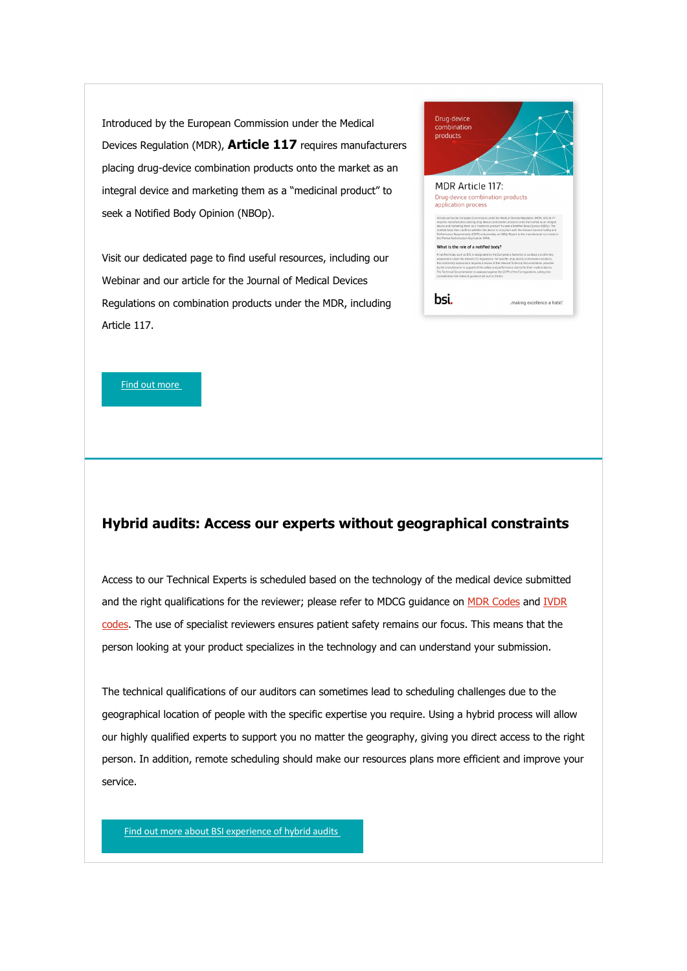Introduced by the European Commission under the Medical Devices Regulation (MDR), **Article 117** requires manufacturers placing drug-device combination products onto the market as an integral device and marketing them as a "medicinal product" to seek a Notified Body Opinion (NBOp).

Visit our dedicated page to find useful resources, including our Webinar and our article for the Journal of Medical Devices Regulations on combination products under the MDR, including Article 117.

| Drug-device<br>combination<br>products                                                                                                                                                                                                                                                                                                                                                                                                                                                                                                                                                                                                      |  |
|---------------------------------------------------------------------------------------------------------------------------------------------------------------------------------------------------------------------------------------------------------------------------------------------------------------------------------------------------------------------------------------------------------------------------------------------------------------------------------------------------------------------------------------------------------------------------------------------------------------------------------------------|--|
| <b>MDR Article 117:</b><br>Drug-device combination products<br>application process<br>Introduced by the European Commission under the Medical Devices Regulation (MDR), Article 117<br>requires manufacturers placing drug-device combination products onto the market as an integral<br>device and marketing them as a "medicinal product" to seek a Notified Body Coinion (NBOo). The<br>notified body then confirms whether the device is compliant with the relevant General Safety and<br>Performance Requirements (GSPR) and provides an NBOp Report to the manufacturer to include in<br>the Market Authorisation Application (MAA). |  |
| What is the role of a notified body?<br>A notified body, such as BSI, is designated by the Competent Authority to conduct a conformity<br>assessment under the relevant EU requlations. For specific drug-device combination products.<br>the conformity assessment requires a review of the relevant Technical Documentation provided<br>by the manufacturer in support of the safety and performance claims for their medical device.<br>The Technical Documentation is assessed against the GSPR of the EU regulations, taking into<br>consideration the relevant guidance set out by the EU.                                            |  |
| hsi.<br>making excellence a habit."                                                                                                                                                                                                                                                                                                                                                                                                                                                                                                                                                                                                         |  |

[Find out more](https://eur03.safelinks.protection.outlook.com/?url=https%3A%2F%2Fwww.bsigroup.com%2Fen-GB%2Fmedical-devices%2Ftechnologies%2Fdrug-device-combination-products%2F%3Futm_source%3Dpardot%26utm_medium%3Demail%26utm_term%3D%26utm_content%3Dform-link%26utm_campaign%3DGL-RegSrv-NEWS-MD-Article-117-2203&data=04%7C01%7CBen.Smith%40bsigroup.com%7C4e31e91843154197988d08da03694d5e%7C54946ffc68d34955ac70dca726d445b4%7C0%7C0%7C637826048092635757%7CUnknown%7CTWFpbGZsb3d8eyJWIjoiMC4wLjAwMDAiLCJQIjoiV2luMzIiLCJBTiI6Ik1haWwiLCJXVCI6Mn0%3D%7C3000&sdata=Fg%2BV8%2Btw1WU%2BnYp9gq%2FZAQeWLtAhC5uSy1iDMgowVzk%3D&reserved=0)

#### **Hybrid audits: Access our experts without geographical constraints**

Access to our Technical Experts is scheduled based on the technology of the medical device submitted and the right qualifications for the reviewer; please refer to MDCG guidance on [MDR Codes](https://eur03.safelinks.protection.outlook.com/?url=https%3A%2F%2Fec.europa.eu%2Fhealth%2Fsystem%2Ffiles%2F2020-09%2Fmd_mdcg_2019_14_mdr_codes_en_0.pdf%3Futm_source%3Dpardot%26utm_medium%3Demail%26utm_term%3D%26utm_content%3Devents-an%2520conferences-link%26utm_campaign%3DRegSrv-NEWS-MD-Article-117-2203&data=04%7C01%7CBen.Smith%40bsigroup.com%7C4e31e91843154197988d08da03694d5e%7C54946ffc68d34955ac70dca726d445b4%7C0%7C0%7C637826048092635757%7CUnknown%7CTWFpbGZsb3d8eyJWIjoiMC4wLjAwMDAiLCJQIjoiV2luMzIiLCJBTiI6Ik1haWwiLCJXVCI6Mn0%3D%7C3000&sdata=WvV96kBcZcoYO0Mklj8ATlKtzfQ4zvCo8%2FeC104RTps%3D&reserved=0) and [IVDR](https://eur03.safelinks.protection.outlook.com/?url=https%3A%2F%2Fec.europa.eu%2Fhealth%2Fsystem%2Ffiles%2F2021-07%2Fmd_mdcg_2021-14-guidance-ivdr-codes_en_0.pdf&data=04%7C01%7CBen.Smith%40bsigroup.com%7C4e31e91843154197988d08da03694d5e%7C54946ffc68d34955ac70dca726d445b4%7C0%7C0%7C637826048092635757%7CUnknown%7CTWFpbGZsb3d8eyJWIjoiMC4wLjAwMDAiLCJQIjoiV2luMzIiLCJBTiI6Ik1haWwiLCJXVCI6Mn0%3D%7C3000&sdata=hhSsoJY17FJTG%2B6fzWrCHtd7uyEq91yhixk4ZrffFwk%3D&reserved=0)  [codes.](https://eur03.safelinks.protection.outlook.com/?url=https%3A%2F%2Fec.europa.eu%2Fhealth%2Fsystem%2Ffiles%2F2021-07%2Fmd_mdcg_2021-14-guidance-ivdr-codes_en_0.pdf&data=04%7C01%7CBen.Smith%40bsigroup.com%7C4e31e91843154197988d08da03694d5e%7C54946ffc68d34955ac70dca726d445b4%7C0%7C0%7C637826048092635757%7CUnknown%7CTWFpbGZsb3d8eyJWIjoiMC4wLjAwMDAiLCJQIjoiV2luMzIiLCJBTiI6Ik1haWwiLCJXVCI6Mn0%3D%7C3000&sdata=hhSsoJY17FJTG%2B6fzWrCHtd7uyEq91yhixk4ZrffFwk%3D&reserved=0) The use of specialist reviewers ensures patient safety remains our focus. This means that the person looking at your product specializes in the technology and can understand your submission.

The technical qualifications of our auditors can sometimes lead to scheduling challenges due to the geographical location of people with the specific expertise you require. Using a hybrid process will allow our highly qualified experts to support you no matter the geography, giving you direct access to the right person. In addition, remote scheduling should make our resources plans more efficient and improve your service.

[Find out more about BSI experience of hybrid audits](https://eur03.safelinks.protection.outlook.com/?url=https%3A%2F%2Fwww.bsigroup.com%2Fen-GB%2Fmedical-devices%2Four-services%2Fmedical-devices-mdr-ivdr-pre-applications%2F%3Futm_source%3Dpardot%26utm_medium%3Demail%26utm_term%3D%26utm_content%3Dform-cta%26utm_campaign%3DGL-RegSrv-NEWS-MD-Article-117-2203&data=04%7C01%7CBen.Smith%40bsigroup.com%7C4e31e91843154197988d08da03694d5e%7C54946ffc68d34955ac70dca726d445b4%7C0%7C0%7C637826048092635757%7CUnknown%7CTWFpbGZsb3d8eyJWIjoiMC4wLjAwMDAiLCJQIjoiV2luMzIiLCJBTiI6Ik1haWwiLCJXVCI6Mn0%3D%7C3000&sdata=N%2BT30648oUbAm%2FTcog3b5vQBE42LxVjkCxA31OUp%2Ba0%3D&reserved=0)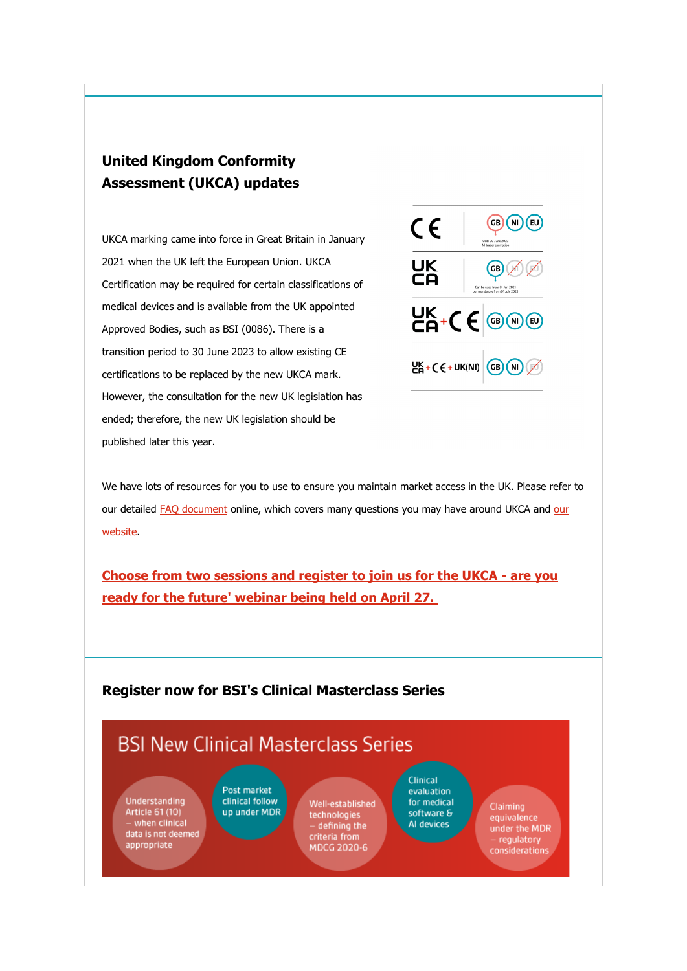## **United Kingdom Conformity Assessment (UKCA) updates**

UKCA marking came into force in Great Britain in January 2021 when the UK left the European Union. UKCA Certification may be required for certain classifications of medical devices and is available from the UK appointed Approved Bodies, such as BSI (0086). There is a transition period to 30 June 2023 to allow existing CE certifications to be replaced by the new UKCA mark. However, the consultation for the new UK legislation has ended; therefore, the new UK legislation should be published later this year.



We have lots of resources for you to use to ensure you maintain market access in the UK. Please refer to our detailed [FAQ document](https://eur03.safelinks.protection.outlook.com/?url=https%3A%2F%2Fwww.bsigroup.com%2Fglobalassets%2Fmeddev%2Flocalfiles%2Fen-gb%2Fwebinars%2Fbsi-md-ukca-for-mds-and-ivds-webinar-faq-260521-uk-en.pdf%2F%3Futm_source%3Dpardot%26utm_medium%3Demail%26utm_term%3D%26utm_content%3Dform-link%26utm_campaign%3DGL-RegSrv-NEWS-MD-Article-117-2203&data=04%7C01%7CBen.Smith%40bsigroup.com%7C4e31e91843154197988d08da03694d5e%7C54946ffc68d34955ac70dca726d445b4%7C0%7C0%7C637826048092635757%7CUnknown%7CTWFpbGZsb3d8eyJWIjoiMC4wLjAwMDAiLCJQIjoiV2luMzIiLCJBTiI6Ik1haWwiLCJXVCI6Mn0%3D%7C3000&sdata=yzzJWKFqFFfc%2BtJvlaTr5t1Bl31u3hOKvd8sLDOBkd0%3D&reserved=0) online, which covers many questions you may have around UKCA and our [website.](https://eur03.safelinks.protection.outlook.com/?url=https%3A%2F%2Fwww.bsigroup.com%2Fen-GB%2Fmedical-devices%2Fmarket-access%2Fukca%2F%3Futm_source%3Dpardot%26utm_medium%3Demail%26utm_term%3D%26utm_content%3Dform-link%26utm_campaign%3DGL-RegSrv-NEWS-MD-Article-117-2203&data=04%7C01%7CBen.Smith%40bsigroup.com%7C4e31e91843154197988d08da03694d5e%7C54946ffc68d34955ac70dca726d445b4%7C0%7C0%7C637826048092635757%7CUnknown%7CTWFpbGZsb3d8eyJWIjoiMC4wLjAwMDAiLCJQIjoiV2luMzIiLCJBTiI6Ik1haWwiLCJXVCI6Mn0%3D%7C3000&sdata=TiWY5kt%2BoHhpqdNRVMYPzsMHdFjc9YmLqMKG7VNkCiQ%3D&reserved=0)

**[Choose from two sessions and register to join us for the UKCA - are you](https://eur03.safelinks.protection.outlook.com/?url=https%3A%2F%2Fstaging.bsi-global.com%2Fen-GB%2Fmedical-devices%2Fresources%2Fwebinars%2F2022%2Fmarket-access%2Fukca-are-you-ready-for-the-future%2F%3Futm_source%3Dpardot%26utm_medium%3Demail%26utm_term%3D%26utm_content%3Dform-cta%26utm_campaign%3DGL-RegSrv-NEWS-MD-Article-117-2203&data=04%7C01%7CBen.Smith%40bsigroup.com%7C4e31e91843154197988d08da03694d5e%7C54946ffc68d34955ac70dca726d445b4%7C0%7C0%7C637826048092635757%7CUnknown%7CTWFpbGZsb3d8eyJWIjoiMC4wLjAwMDAiLCJQIjoiV2luMzIiLCJBTiI6Ik1haWwiLCJXVCI6Mn0%3D%7C3000&sdata=w6vuz6Oh6YP3f4pVunBN6w4ma9rcrmO2WuP8kVVt%2Bc8%3D&reserved=0)  [ready for the future' webinar being held on April 27.](https://eur03.safelinks.protection.outlook.com/?url=https%3A%2F%2Fstaging.bsi-global.com%2Fen-GB%2Fmedical-devices%2Fresources%2Fwebinars%2F2022%2Fmarket-access%2Fukca-are-you-ready-for-the-future%2F%3Futm_source%3Dpardot%26utm_medium%3Demail%26utm_term%3D%26utm_content%3Dform-cta%26utm_campaign%3DGL-RegSrv-NEWS-MD-Article-117-2203&data=04%7C01%7CBen.Smith%40bsigroup.com%7C4e31e91843154197988d08da03694d5e%7C54946ffc68d34955ac70dca726d445b4%7C0%7C0%7C637826048092635757%7CUnknown%7CTWFpbGZsb3d8eyJWIjoiMC4wLjAwMDAiLCJQIjoiV2luMzIiLCJBTiI6Ik1haWwiLCJXVCI6Mn0%3D%7C3000&sdata=w6vuz6Oh6YP3f4pVunBN6w4ma9rcrmO2WuP8kVVt%2Bc8%3D&reserved=0)**

### **Register now for BSI's Clinical Masterclass Series**

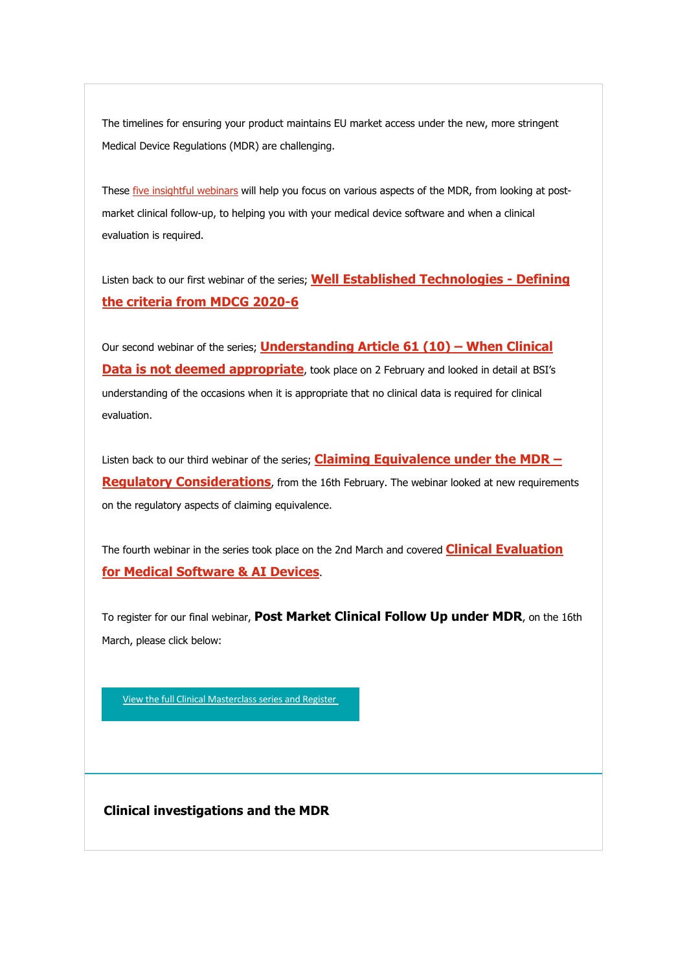The timelines for ensuring your product maintains EU market access under the new, more stringent Medical Device Regulations (MDR) are challenging.

These [five insightful webinars](https://eur03.safelinks.protection.outlook.com/?url=https%3A%2F%2Fwww.bsigroup.com%2Fen-GB%2Fmedical-devices%2Fresources%2Fwebinars%2F2022%2Fmdr%2Fclinical-masterclass%2F%3Futm_source%3Dpardot%26utm_medium%3Demail%26utm_term%3D%26utm_content%3Dimage%26utm_campaign%3DGL-RegSrv-NEWS-MD-Article-117-2203&data=04%7C01%7CBen.Smith%40bsigroup.com%7C4e31e91843154197988d08da03694d5e%7C54946ffc68d34955ac70dca726d445b4%7C0%7C0%7C637826048092635757%7CUnknown%7CTWFpbGZsb3d8eyJWIjoiMC4wLjAwMDAiLCJQIjoiV2luMzIiLCJBTiI6Ik1haWwiLCJXVCI6Mn0%3D%7C3000&sdata=xCOD4sZLPOgZRRDViqAe26k6Xv2Zz99BtSfcOlDFbuk%3D&reserved=0) will help you focus on various aspects of the MDR, from looking at postmarket clinical follow-up, to helping you with your medical device software and when a clinical evaluation is required.

Listen back to our first webinar of the series; **[Well Established Technologies - Defining](https://eur03.safelinks.protection.outlook.com/?url=https%3A%2F%2Fpage.bsigroup.com%2Fl%2F73472%2F2021-11-17%2F23sx9x4%3F_ga%3D2.260170125.1889344590.1643897725-1982153597.1597067562%3Futm_source%3DPardot%26utm_medium%3Demail%26utm_term%3D%26utm_content%3Dfirst-webinar%26utm_campaign%3DGL-RegSrv-NEWS-MD-Article-117-2203&data=04%7C01%7CBen.Smith%40bsigroup.com%7C4e31e91843154197988d08da03694d5e%7C54946ffc68d34955ac70dca726d445b4%7C0%7C0%7C637826048092635757%7CUnknown%7CTWFpbGZsb3d8eyJWIjoiMC4wLjAwMDAiLCJQIjoiV2luMzIiLCJBTiI6Ik1haWwiLCJXVCI6Mn0%3D%7C3000&sdata=lEr%2FVuiwuDWN5ELmW3VG8i4i9R8xziUWDjyoey%2B8VVc%3D&reserved=0)  [the criteria from MDCG 2020-6](https://eur03.safelinks.protection.outlook.com/?url=https%3A%2F%2Fpage.bsigroup.com%2Fl%2F73472%2F2021-11-17%2F23sx9x4%3F_ga%3D2.260170125.1889344590.1643897725-1982153597.1597067562%3Futm_source%3DPardot%26utm_medium%3Demail%26utm_term%3D%26utm_content%3Dfirst-webinar%26utm_campaign%3DGL-RegSrv-NEWS-MD-Article-117-2203&data=04%7C01%7CBen.Smith%40bsigroup.com%7C4e31e91843154197988d08da03694d5e%7C54946ffc68d34955ac70dca726d445b4%7C0%7C0%7C637826048092635757%7CUnknown%7CTWFpbGZsb3d8eyJWIjoiMC4wLjAwMDAiLCJQIjoiV2luMzIiLCJBTiI6Ik1haWwiLCJXVCI6Mn0%3D%7C3000&sdata=lEr%2FVuiwuDWN5ELmW3VG8i4i9R8xziUWDjyoey%2B8VVc%3D&reserved=0)**

Our second webinar of the series; **[Understanding Article 61 \(10\) – When Clinical](https://eur03.safelinks.protection.outlook.com/?url=https%3A%2F%2Fpage.bsigroup.com%2Fl%2F73472%2F2021-12-02%2F242j7vl%3Futm_source%3DPardot%26utm_medium%3DEmail%26utm_content%3DClinical-Master-Class-Understanding-article-61-webinar-on-demand%26utm_campaign%3DMD-newsletter-2202%3Futm_source%3DPardot%26utm_medium%3Demail%26utm_term%3D%26utm_content%3Dfirst-webinar%26utm_campaign%3DGL-RegSrv-NEWS-MD-Article-117-2203&data=04%7C01%7CBen.Smith%40bsigroup.com%7C4e31e91843154197988d08da03694d5e%7C54946ffc68d34955ac70dca726d445b4%7C0%7C0%7C637826048092635757%7CUnknown%7CTWFpbGZsb3d8eyJWIjoiMC4wLjAwMDAiLCJQIjoiV2luMzIiLCJBTiI6Ik1haWwiLCJXVCI6Mn0%3D%7C3000&sdata=qla0KlIYIdTawkYVgbDQLUfsEI8pgpL24crQK4AWv34%3D&reserved=0)  [Data is not deemed appropriate](https://eur03.safelinks.protection.outlook.com/?url=https%3A%2F%2Fpage.bsigroup.com%2Fl%2F73472%2F2021-12-02%2F242j7vl%3Futm_source%3DPardot%26utm_medium%3DEmail%26utm_content%3DClinical-Master-Class-Understanding-article-61-webinar-on-demand%26utm_campaign%3DMD-newsletter-2202%3Futm_source%3DPardot%26utm_medium%3Demail%26utm_term%3D%26utm_content%3Dfirst-webinar%26utm_campaign%3DGL-RegSrv-NEWS-MD-Article-117-2203&data=04%7C01%7CBen.Smith%40bsigroup.com%7C4e31e91843154197988d08da03694d5e%7C54946ffc68d34955ac70dca726d445b4%7C0%7C0%7C637826048092635757%7CUnknown%7CTWFpbGZsb3d8eyJWIjoiMC4wLjAwMDAiLCJQIjoiV2luMzIiLCJBTiI6Ik1haWwiLCJXVCI6Mn0%3D%7C3000&sdata=qla0KlIYIdTawkYVgbDQLUfsEI8pgpL24crQK4AWv34%3D&reserved=0)**, took place on 2 February and looked in detail at BSI's understanding of the occasions when it is appropriate that no clinical data is required for clinical evaluation.

Listen back to our third webinar of the series; **Claiming Equivalence under the MDR – [Regulatory Considerations](https://eur03.safelinks.protection.outlook.com/?url=https%3A%2F%2Fpage.bsigroup.com%2Fl%2F73472%2F2021-12-02%2F242llrx%3Futm_source%3DPardot%26utm_medium%3DNewsletter%26utm_content%3DClinical-Master-Class-Claiming-Equivalence-under-the-MDR-Article-117-2203&data=04%7C01%7CBen.Smith%40bsigroup.com%7C4e31e91843154197988d08da03694d5e%7C54946ffc68d34955ac70dca726d445b4%7C0%7C0%7C637826048092635757%7CUnknown%7CTWFpbGZsb3d8eyJWIjoiMC4wLjAwMDAiLCJQIjoiV2luMzIiLCJBTiI6Ik1haWwiLCJXVCI6Mn0%3D%7C3000&sdata=XKyKW0tX1PFeDLTAzE323okN4teCVi7BmxzMzCpb6Zo%3D&reserved=0)**, from the 16th February. The webinar looked at new requirements on the regulatory aspects of claiming equivalence.

The fourth webinar in the series took place on the 2nd March and covered **[Clinical Evaluation](https://eur03.safelinks.protection.outlook.com/?url=https%3A%2F%2Fpage.bsigroup.com%2Fl%2F73472%2F2021-12-02%2F242lm6n%3Futm_source%3DPardot%26utm_medium%3DNewsletter%26utm_content%3DClinical-Master-Class-Medical-Software-%2526-AI-Devices-ON-DEMAND%26utm_campaign%3DMD-newsletter-2203&data=04%7C01%7CBen.Smith%40bsigroup.com%7C4e31e91843154197988d08da03694d5e%7C54946ffc68d34955ac70dca726d445b4%7C0%7C0%7C637826048092635757%7CUnknown%7CTWFpbGZsb3d8eyJWIjoiMC4wLjAwMDAiLCJQIjoiV2luMzIiLCJBTiI6Ik1haWwiLCJXVCI6Mn0%3D%7C3000&sdata=p5iDlR3J6gZPDDiKpmWwSX7UVB8yi4xbEixautSv1pw%3D&reserved=0)  [for Medical Software & AI Devices](https://eur03.safelinks.protection.outlook.com/?url=https%3A%2F%2Fpage.bsigroup.com%2Fl%2F73472%2F2021-12-02%2F242lm6n%3Futm_source%3DPardot%26utm_medium%3DNewsletter%26utm_content%3DClinical-Master-Class-Medical-Software-%2526-AI-Devices-ON-DEMAND%26utm_campaign%3DMD-newsletter-2203&data=04%7C01%7CBen.Smith%40bsigroup.com%7C4e31e91843154197988d08da03694d5e%7C54946ffc68d34955ac70dca726d445b4%7C0%7C0%7C637826048092635757%7CUnknown%7CTWFpbGZsb3d8eyJWIjoiMC4wLjAwMDAiLCJQIjoiV2luMzIiLCJBTiI6Ik1haWwiLCJXVCI6Mn0%3D%7C3000&sdata=p5iDlR3J6gZPDDiKpmWwSX7UVB8yi4xbEixautSv1pw%3D&reserved=0)**.

To register for our final webinar, **Post Market Clinical Follow Up under MDR**, on the 16th March, please click below:

[View the full Clinical Masterclass series](https://eur03.safelinks.protection.outlook.com/?url=https%3A%2F%2Fwww.bsigroup.com%2Fen-GB%2Fmedical-devices%2Fresources%2Fwebinars%2F2022%2Fmdr%2Fclinical-masterclass%2F%3F%3F%3Futm_source%3Dpardot%26utm_medium%3Demail%26utm_term%3D%26utm_content%3Dimage%26utm_campaign%3DGL-RegSrv-NEWS-MD-Article-117-2203&data=04%7C01%7CBen.Smith%40bsigroup.com%7C4e31e91843154197988d08da03694d5e%7C54946ffc68d34955ac70dca726d445b4%7C0%7C0%7C637826048092635757%7CUnknown%7CTWFpbGZsb3d8eyJWIjoiMC4wLjAwMDAiLCJQIjoiV2luMzIiLCJBTiI6Ik1haWwiLCJXVCI6Mn0%3D%7C3000&sdata=qTZLEwKKHgkRDc%2FpyxOfE1Cv5DpMxA8NI4gUaileD2E%3D&reserved=0) and Register

**Clinical investigations and the MDR**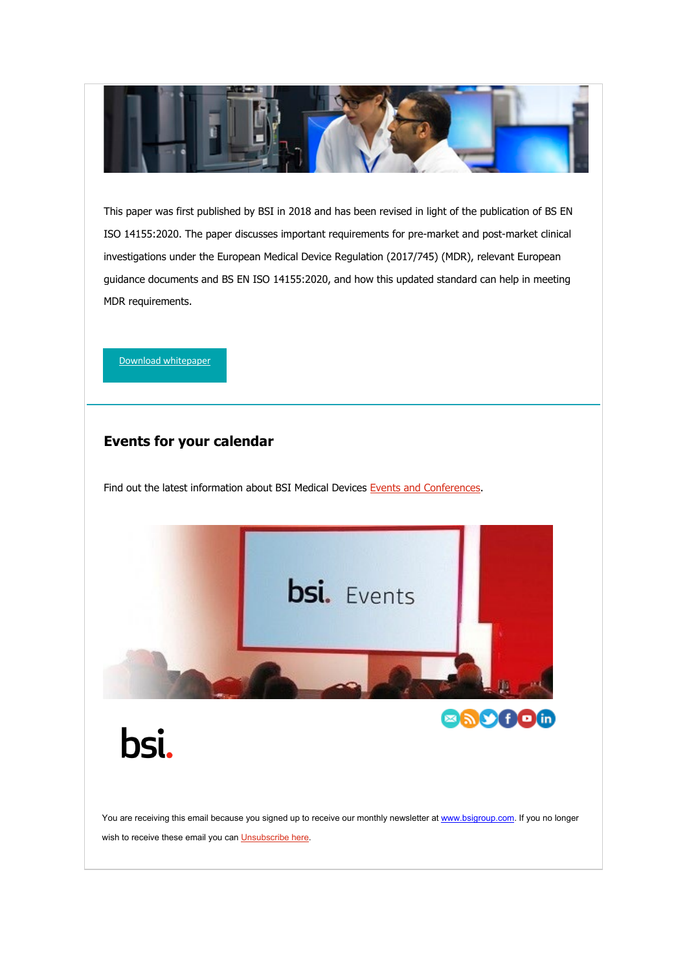

This paper was first published by BSI in 2018 and has been revised in light of the publication of BS EN ISO 14155:2020. The paper discusses important requirements for pre-market and post-market clinical investigations under the European Medical Device Regulation (2017/745) (MDR), relevant European guidance documents and BS EN ISO 14155:2020, and how this updated standard can help in meeting MDR requirements.

[Download whitepaper](https://eur03.safelinks.protection.outlook.com/?url=https%3A%2F%2Fwww.bsigroup.com%2Fen-GB%2Fmedical-devices%2Fresources%2Fwhitepapers%2F2022%2Fclinical-investigations-update%2F%3Futm_source%3Dpardot%26utm_medium%3Demail%26utm_term%3D%26utm_content%3Devents-an%2520conferences-link%26utm_campaign%3DRegSrv-NEWS-MD-Article-117-2203&data=04%7C01%7CBen.Smith%40bsigroup.com%7C4e31e91843154197988d08da03694d5e%7C54946ffc68d34955ac70dca726d445b4%7C0%7C0%7C637826048092635757%7CUnknown%7CTWFpbGZsb3d8eyJWIjoiMC4wLjAwMDAiLCJQIjoiV2luMzIiLCJBTiI6Ik1haWwiLCJXVCI6Mn0%3D%7C3000&sdata=i5H8fHPcoeffOAb0PuMeWFVzwyG8ZrNrN0YDCAZsW%2Fs%3D&reserved=0)

### **Events for your calendar**

Find out the latest information about BSI Medical Devices [Events and Conferences.](https://eur03.safelinks.protection.outlook.com/?url=https%3A%2F%2Fwww.bsigroup.com%2Fen-GB%2Fmedical-devices%2Four-services%2Fevents-and-conferences%2F%3Futm_source%3Dpardot%26utm_medium%3Demail%26utm_term%3D%26utm_content%3Devents-an%2520conferences-link%26utm_campaign%3DRegSrv-NEWS-MD-Article-117-2203&data=04%7C01%7CBen.Smith%40bsigroup.com%7C4e31e91843154197988d08da03694d5e%7C54946ffc68d34955ac70dca726d445b4%7C0%7C0%7C637826048092635757%7CUnknown%7CTWFpbGZsb3d8eyJWIjoiMC4wLjAwMDAiLCJQIjoiV2luMzIiLCJBTiI6Ik1haWwiLCJXVCI6Mn0%3D%7C3000&sdata=IBUR9%2FVC48kLZYPQrq%2BVzK9VrQQlL2MT%2Fm33pFHR%2FlE%3D&reserved=0)



You are receiving this email because you signed up to receive our monthly newsletter a[t www.bsigroup.com.](https://eur03.safelinks.protection.outlook.com/?url=http%3A%2F%2Fwww.bsigroup.com%2F&data=04%7C01%7CBen.Smith%40bsigroup.com%7C4e31e91843154197988d08da03694d5e%7C54946ffc68d34955ac70dca726d445b4%7C0%7C0%7C637826048092791983%7CUnknown%7CTWFpbGZsb3d8eyJWIjoiMC4wLjAwMDAiLCJQIjoiV2luMzIiLCJBTiI6Ik1haWwiLCJXVCI6Mn0%3D%7C3000&sdata=9UYPcIMZcVRITYHPSG7Z82t1pQ9O0Dt%2FUX5csYIAJGc%3D&reserved=0) If you no longer wish to receive these email you can [Unsubscribe here.](https://eur03.safelinks.protection.outlook.com/?url=https%3A%2F%2Fpage.bsigroup.com%2FemailPreference%2Fe%2Fepc%2F73472%2F8ISeBUeA9MnaaEzobkjRGa78Nhdj7J6CcxK_iST3PbQ%2F1099&data=04%7C01%7CBen.Smith%40bsigroup.com%7C4e31e91843154197988d08da03694d5e%7C54946ffc68d34955ac70dca726d445b4%7C0%7C0%7C637826048092791983%7CUnknown%7CTWFpbGZsb3d8eyJWIjoiMC4wLjAwMDAiLCJQIjoiV2luMzIiLCJBTiI6Ik1haWwiLCJXVCI6Mn0%3D%7C3000&sdata=Wpuc7%2FOfAgIE6XZFDylwtWfdHsvdp5kmsHVEfx%2BMLv8%3D&reserved=0)